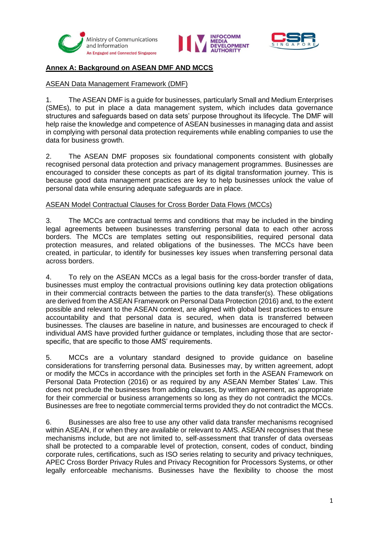





## **Annex A: Background on ASEAN DMF AND MCCS**

## ASEAN Data Management Framework (DMF)

1. The ASEAN DMF is a guide for businesses, particularly Small and Medium Enterprises (SMEs), to put in place a data management system, which includes data governance structures and safeguards based on data sets' purpose throughout its lifecycle. The DMF will help raise the knowledge and competence of ASEAN businesses in managing data and assist in complying with personal data protection requirements while enabling companies to use the data for business growth.

2. The ASEAN DMF proposes six foundational components consistent with globally recognised personal data protection and privacy management programmes. Businesses are encouraged to consider these concepts as part of its digital transformation journey. This is because good data management practices are key to help businesses unlock the value of personal data while ensuring adequate safeguards are in place.

## ASEAN Model Contractual Clauses for Cross Border Data Flows (MCCs)

3. The MCCs are contractual terms and conditions that may be included in the binding legal agreements between businesses transferring personal data to each other across borders. The MCCs are templates setting out responsibilities, required personal data protection measures, and related obligations of the businesses. The MCCs have been created, in particular, to identify for businesses key issues when transferring personal data across borders.

4. To rely on the ASEAN MCCs as a legal basis for the cross-border transfer of data, businesses must employ the contractual provisions outlining key data protection obligations in their commercial contracts between the parties to the data transfer(s). These obligations are derived from the ASEAN Framework on Personal Data Protection (2016) and, to the extent possible and relevant to the ASEAN context, are aligned with global best practices to ensure accountability and that personal data is secured, when data is transferred between businesses. The clauses are baseline in nature, and businesses are encouraged to check if individual AMS have provided further guidance or templates, including those that are sectorspecific, that are specific to those AMS' requirements.

5. MCCs are a voluntary standard designed to provide guidance on baseline considerations for transferring personal data. Businesses may, by written agreement, adopt or modify the MCCs in accordance with the principles set forth in the ASEAN Framework on Personal Data Protection (2016) or as required by any ASEAN Member States' Law. This does not preclude the businesses from adding clauses, by written agreement, as appropriate for their commercial or business arrangements so long as they do not contradict the MCCs. Businesses are free to negotiate commercial terms provided they do not contradict the MCCs.

6. Businesses are also free to use any other valid data transfer mechanisms recognised within ASEAN, if or when they are available or relevant to AMS. ASEAN recognises that these mechanisms include, but are not limited to, self-assessment that transfer of data overseas shall be protected to a comparable level of protection, consent, codes of conduct, binding corporate rules, certifications, such as ISO series relating to security and privacy techniques, APEC Cross Border Privacy Rules and Privacy Recognition for Processors Systems, or other legally enforceable mechanisms. Businesses have the flexibility to choose the most